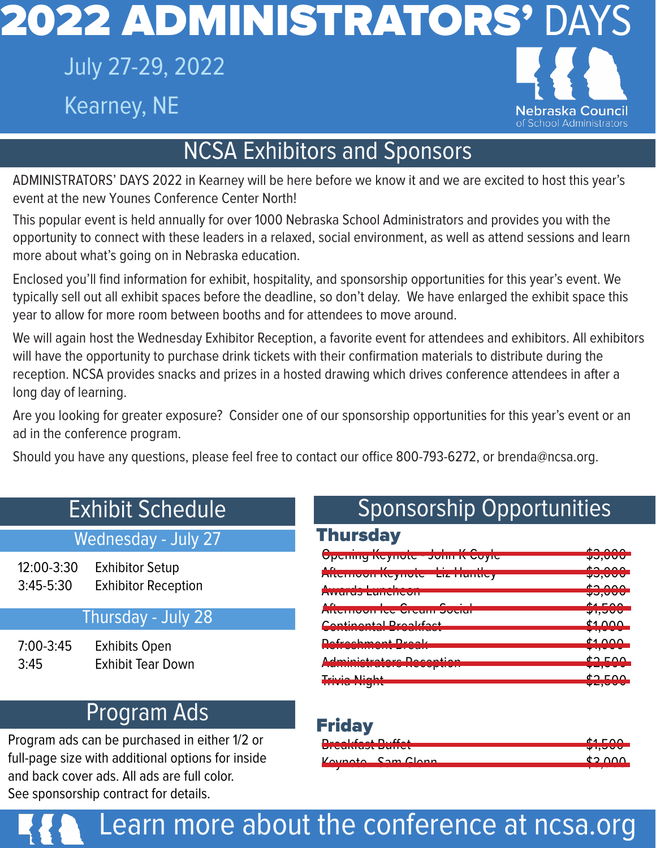## July 27-29, 2022 Kearney, NE



## NCSA Exhibitors and Sponsors

ADMINISTRATORS' DAYS 2022 in Kearney will be here before we know it and we are excited to host this year's event at the new Younes Conference Center North!

This popular event is held annually for over 1000 Nebraska School Administrators and provides you with the opportunity to connect with these leaders in a relaxed, social environment, as well as attend sessions and learn more about what's going on in Nebraska education.

Enclosed you'll find information for exhibit, hospitality, and sponsorship opportunities for this year's event. We typically sell out all exhibit spaces before the deadline, so don't delay. We have enlarged the exhibit space this year to allow for more room between booths and for attendees to move around.

We will again host the Wednesday Exhibitor Reception, a favorite event for attendees and exhibitors. All exhibitors will have the opportunity to purchase drink tickets with their confirmation materials to distribute during the reception. NCSA provides snacks and prizes in a hosted drawing which drives conference attendees in after a long day of learning.

Are you looking for greater exposure? Consider one of our sponsorship opportunities for this year's event or an ad in the conference program.

Should you have any questions, please feel free to contact our office 800-793-6272, or brenda@ncsa.org.

#### Wednesday - July 27

12:00-3:30 Exhibitor Setup 3:45-5:30 Exhibitor Reception

#### Thursday - July 28

7:00-3:45 Exhibits Open 3:45 Exhibit Tear Down

## Program Ads

Program ads can be purchased in either 1/2 or full-page size with additional options for inside and back cover ads. All ads are full color. See sponsorship contract for details.

## Exhibit Schedule Sponsorship Opportunities

#### **Thursday**

|                                                                                                                                                                                                                                      | $\triangle$                                 |
|--------------------------------------------------------------------------------------------------------------------------------------------------------------------------------------------------------------------------------------|---------------------------------------------|
| Opering negrious - John In Coyle                                                                                                                                                                                                     | ᠊ᡇ᠍ᡠᠶᠦᠣ                                     |
| $\mathbf{A}$ . Compared the set of $\mathbf{A}$ is the set of $\mathbf{A}$ in the set of $\mathbf{A}$ is the set of $\mathbf{A}$                                                                                                     | $\triangle$                                 |
| <b>AIRTHOUT NUYHOR LIZ HUIRDY</b>                                                                                                                                                                                                    | ᠊ᢦᡠᡕᠣᢦ                                      |
| Announced and announced and a series                                                                                                                                                                                                 | $\uparrow$ $\uparrow$ $\uparrow$ $\uparrow$ |
| Д <u>уучгчэ н</u> чныгызд                                                                                                                                                                                                            | ᠊ᢦᠣᡕᡡ                                       |
| $\mathbf{A}$ $\mathbf{C}$                                                                                                                                                                                                            | $\frac{1}{2}$                               |
| AILCHIVOITICE OICUIT JUCIUI                                                                                                                                                                                                          | ᢌᠠᡕᠣᠣ                                       |
| Contingental Drapletoot                                                                                                                                                                                                              | d1000                                       |
| <u>sa sa bin bin bin sa bin sa bin sa bin sa bin sa bin sa bin sa sa bin sa bin sa bin sa bin sa bin sa bin sa bi</u>                                                                                                                | $+1$                                        |
| Dofrochmont Drook                                                                                                                                                                                                                    | 41000                                       |
| <u>In the second contract of the second contract of the second contract of the second contract of the second contract of the second contract of the second contract of the second contract of the second contract of the second </u> | .                                           |
| Administrators Described                                                                                                                                                                                                             | $d \Omega$ E $\Omega \Omega$                |
| <u>Aviologististe et de la segundo de la pro</u>                                                                                                                                                                                     |                                             |
| $T_n$ : $\mathcal{L} = \mathbb{N}$ : $\mathcal{L} = \mathcal{L}$                                                                                                                                                                     | よっ FOO                                      |
| <u> Bernard van Bernard Bern</u>                                                                                                                                                                                                     | <b>WEBSTERN</b>                             |

#### Friday

| $D_{\text{max}} + L_{\text{max}} + D_{\text{max}} + L_{\text{max}}$ | $A = 0$              |
|---------------------------------------------------------------------|----------------------|
| <b>DICUMUDI DUIICI</b>                                              | ᠊ <del>ᢦ᠊ᡕ</del> ᠣᠣᠦ |
| Kaypota Cam Clapp                                                   | nnn ct               |
|                                                                     |                      |

Learn more about the conference at ncsa.org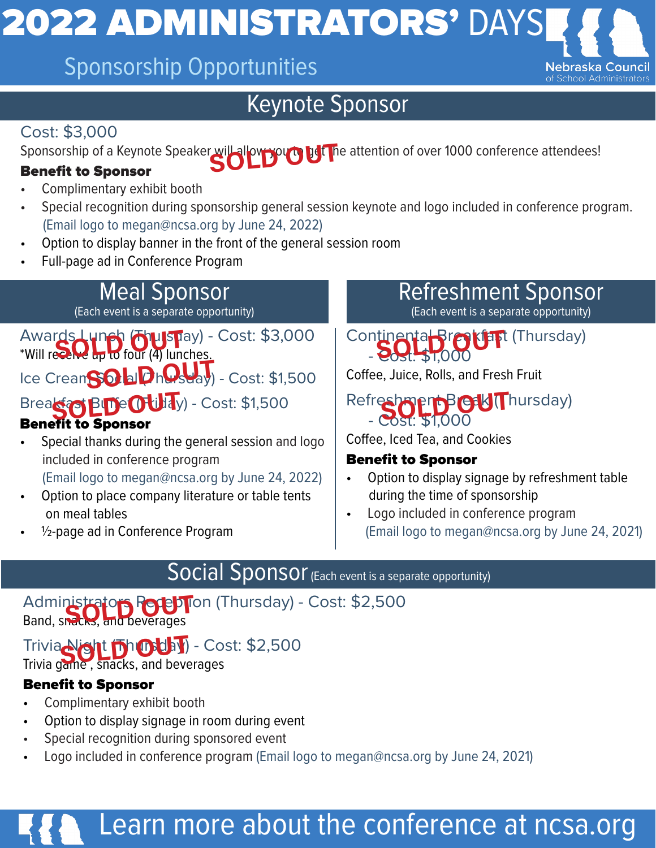## Sponsorship Opportunities

## Keynote Sponsor

#### Cost: \$3,000

Sponsorship of a Keynote Speaker will allow you to get the attention of over 1000 conference attendees!<br>Renefit to Sponsor

#### Benefit to Sponsor

- Complimentary exhibit booth
- Special recognition during sponsorship general session keynote and logo included in conference program. (Email logo to megan@ncsa.org by June 24, 2022)
- Option to display banner in the front of the general session room
- Full-page ad in Conference Program

## Meal Sponsor

(Each event is a separate opportunity)

Awards Lunch (Thuispay) - Cost: \$3,000<br>\*Will recalled to four (4) lunches. \*Will receive up to four (4) lunches.

Ice CreanSOLDhOstay) - Cost: \$1,500

Breakfast Buffe (Friday) - Cost: \$1,500

#### Benefit to Sponsor

- Special thanks during the general session and logo included in conference program (Email logo to megan@ncsa.org by June 24, 2022)
- Option to place company literature or table tents on meal tables
- $\frac{1}{2}$ -page ad in Conference Program

#### Refreshment Sponsor (Each event is a separate opportunity)

Nebraska C

Continental Breakfast (Thursday) - Cost: \$1,000

Coffee, Juice, Rolls, and Fresh Fruit

#### Refreshment Break (Thursday) - Cost: \$1,000

Coffee, Iced Tea, and Cookies

#### Benefit to Sponsor

- Option to display signage by refreshment table during the time of sponsorship
- Logo included in conference program (Email logo to megan@ncsa.org by June 24, 2021)

## Social Sponsor (Each event is a separate opportunity)

#### Administrators Reception (Thursday) - Cost: \$2,500 Administrators Reception

## Trivia Nght Dhubbay) - Cost: \$2,500

Trivia game , snacks, and beverages

#### Benefit to Sponsor

- Complimentary exhibit booth
- Option to display signage in room during event
- Special recognition during sponsored event
- Logo included in conference program (Email logo to megan@ncsa.org by June 24, 2021)

## Learn more about the conference at ncsa.org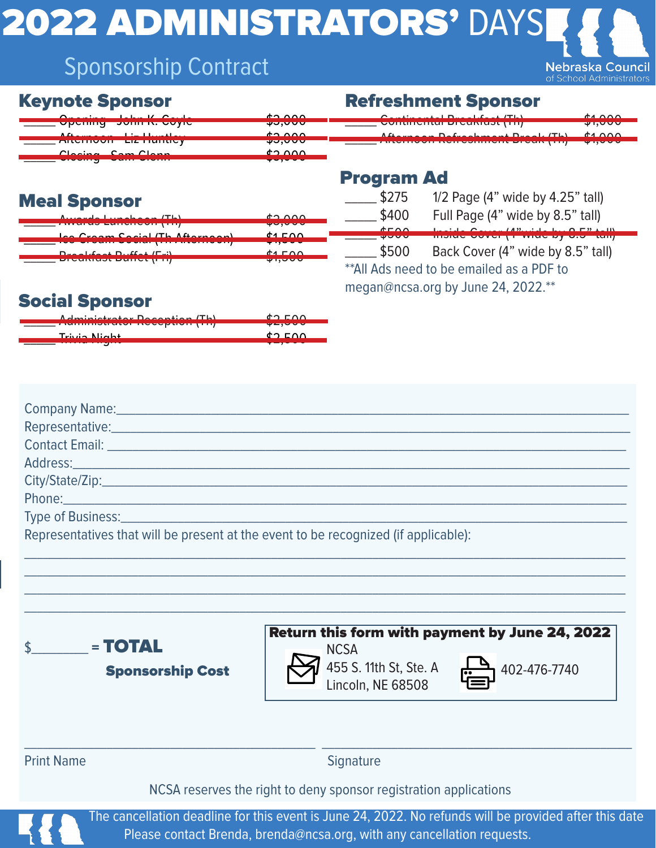## Sponsorship Contract

**Nebraska Council** of School Administrators

| <b>Keynote Sponsor</b> |  |
|------------------------|--|
|------------------------|--|

| $\begin{array}{ccc} \mathbf{C} & \mathbf{C} & \mathbf{C} & \mathbf{C} & \mathbf{C} & \mathbf{C} & \mathbf{C} & \mathbf{C} & \mathbf{C} & \mathbf{C} & \mathbf{C} & \mathbf{C} & \mathbf{C} & \mathbf{C} & \mathbf{C} & \mathbf{C} & \mathbf{C} & \mathbf{C} & \mathbf{C} & \mathbf{C} & \mathbf{C} & \mathbf{C} & \mathbf{C} & \mathbf{C} & \mathbf{C} & \mathbf{C} & \mathbf{C} & \mathbf{C} & \mathbf{C} & \mathbf{C} & \mathbf$ | $\uparrow$ $\uparrow$ $\uparrow$ $\uparrow$ |
|------------------------------------------------------------------------------------------------------------------------------------------------------------------------------------------------------------------------------------------------------------------------------------------------------------------------------------------------------------------------------------------------------------------------------------|---------------------------------------------|
| <b>Opening John M. Coyle</b>                                                                                                                                                                                                                                                                                                                                                                                                       | vu,uu                                       |
| $\Lambda$ from a second in the definition of                                                                                                                                                                                                                                                                                                                                                                                       | $\uparrow$ $\uparrow$ $\uparrow$ $\uparrow$ |
| $\frac{1}{2}$ michivvii Liz Hunuvy                                                                                                                                                                                                                                                                                                                                                                                                 | 40,000                                      |
| Clasing Cam Clann                                                                                                                                                                                                                                                                                                                                                                                                                  | non co                                      |
| <u>wiwwithy wwith wiwith</u>                                                                                                                                                                                                                                                                                                                                                                                                       | 49.9999                                     |

#### Refreshment Sponsor



#### Program Ad

#### \$400 Full Page (4" wide by 8.5" tall)

|                                                     | do ovv                        |
|-----------------------------------------------------|-------------------------------|
| <u>TIMULAY FAILOR VULLILIL</u>                      | 40,000                        |
| Ico Croom Cocial ITh Afternoon                      | d1EOM                         |
|                                                     | <b>The Company of Section</b> |
| $D_{weak}$ $f_{real}$ $D_{ijkl}$ $f_{ijkl}$ $f_{l}$ | $A = 0$                       |
| וד ון זטוואט זטאמוסוט                               |                               |

Inside Cover (4"wide by 8.5" tall) \$500 Back Cover (4" wide by 8.5" tall) \*\*All Ads need to be emailed as a PDF to megan@ncsa.org by June 24, 2022.\*\*

#### Social Sponsor

Meal Sponsor

| Adveto television Dependieus (Th)    | $\uparrow$ $\uparrow$ $\uparrow$ $\uparrow$ $\uparrow$ |
|--------------------------------------|--------------------------------------------------------|
| <del>, www.wardron.compon-prop</del> | 42,000                                                 |
| Trivia Niah+                         | <b>ልግ E A A</b>                                        |
| -----------------                    | <del>.</del>                                           |

| Representative: Manual Manual Manual Manual Manual Manual Manual Manual Manual Manual Manual Manual Manual Manu |                                                                                                                                                                                   |
|-----------------------------------------------------------------------------------------------------------------|-----------------------------------------------------------------------------------------------------------------------------------------------------------------------------------|
|                                                                                                                 |                                                                                                                                                                                   |
|                                                                                                                 |                                                                                                                                                                                   |
|                                                                                                                 |                                                                                                                                                                                   |
|                                                                                                                 |                                                                                                                                                                                   |
|                                                                                                                 |                                                                                                                                                                                   |
| Representatives that will be present at the event to be recognized (if applicable):                             |                                                                                                                                                                                   |
| $= TOTAL$<br><b>Sponsorship Cost</b>                                                                            | Return this form with payment by June 24, 2022<br><b>NCSA</b><br>455 S. 11th St, Ste. A<br>402-476-7740<br>Lincoln, NE 68508                                                      |
| <b>Print Name</b>                                                                                               | Signature                                                                                                                                                                         |
|                                                                                                                 | NCSA reserves the right to deny sponsor registration applications                                                                                                                 |
|                                                                                                                 | The cancellation deadline for this event is June 24, 2022. No refunds will be provided after this date<br>Please contact Brenda, brenda@ncsa.org, with any cancellation requests. |